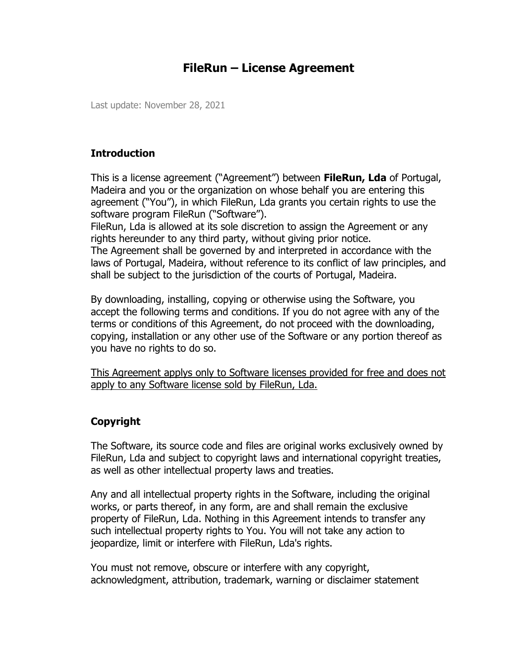# **FileRun – License Agreement**

Last update: November 28, 2021

### **Introduction**

This is a license agreement ("Agreement") between **FileRun, Lda** of Portugal, Madeira and you or the organization on whose behalf you are entering this agreement ("You"), in which FileRun, Lda grants you certain rights to use the software program FileRun ("Software").

FileRun, Lda is allowed at its sole discretion to assign the Agreement or any rights hereunder to any third party, without giving prior notice. The Agreement shall be governed by and interpreted in accordance with the laws of Portugal, Madeira, without reference to its conflict of law principles, and shall be subject to the jurisdiction of the courts of Portugal, Madeira.

By downloading, installing, copying or otherwise using the Software, you accept the following terms and conditions. If you do not agree with any of the terms or conditions of this Agreement, do not proceed with the downloading, copying, installation or any other use of the Software or any portion thereof as you have no rights to do so.

This Agreement applys only to Software licenses provided for free and does not apply to any Software license sold by FileRun, Lda.

### **Copyright**

The Software, its source code and files are original works exclusively owned by FileRun, Lda and subject to copyright laws and international copyright treaties, as well as other intellectual property laws and treaties.

Any and all intellectual property rights in the Software, including the original works, or parts thereof, in any form, are and shall remain the exclusive property of FileRun, Lda. Nothing in this Agreement intends to transfer any such intellectual property rights to You. You will not take any action to jeopardize, limit or interfere with FileRun, Lda's rights.

You must not remove, obscure or interfere with any copyright, acknowledgment, attribution, trademark, warning or disclaimer statement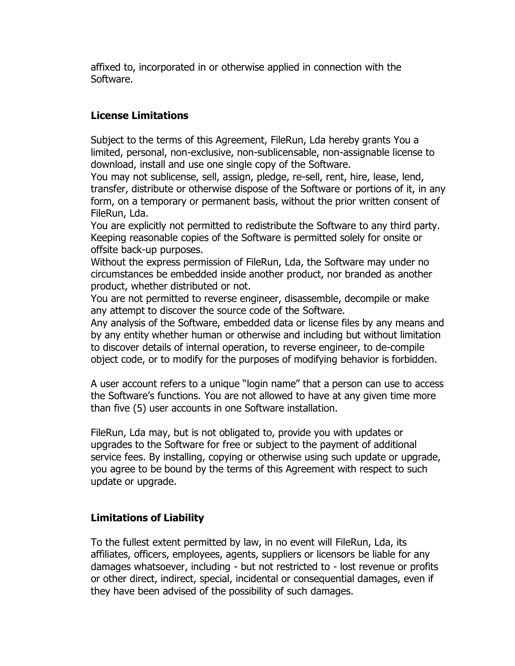affixed to, incorporated in or otherwise applied in connection with the Software.

### **License Limitations**

Subject to the terms of this Agreement, FileRun, Lda hereby grants You a limited, personal, non-exclusive, non-sublicensable, non-assignable license to download, install and use one single copy of the Software.

You may not sublicense, sell, assign, pledge, re-sell, rent, hire, lease, lend, transfer, distribute or otherwise dispose of the Software or portions of it, in any form, on a temporary or permanent basis, without the prior written consent of FileRun, Lda.

You are explicitly not permitted to redistribute the Software to any third party. Keeping reasonable copies of the Software is permitted solely for onsite or offsite back-up purposes.

Without the express permission of FileRun, Lda, the Software may under no circumstances be embedded inside another product, nor branded as another product, whether distributed or not.

You are not permitted to reverse engineer, disassemble, decompile or make any attempt to discover the source code of the Software.

Any analysis of the Software, embedded data or license files by any means and by any entity whether human or otherwise and including but without limitation to discover details of internal operation, to reverse engineer, to de-compile object code, or to modify for the purposes of modifying behavior is forbidden.

A user account refers to a unique "login name" that a person can use to access the Software's functions. You are not allowed to have at any given time more than five (5) user accounts in one Software installation.

FileRun, Lda may, but is not obligated to, provide you with updates or upgrades to the Software for free or subject to the payment of additional service fees. By installing, copying or otherwise using such update or upgrade, you agree to be bound by the terms of this Agreement with respect to such update or upgrade.

## **Limitations of Liability**

To the fullest extent permitted by law, in no event will FileRun, Lda, its affiliates, officers, employees, agents, suppliers or licensors be liable for any damages whatsoever, including - but not restricted to - lost revenue or profits or other direct, indirect, special, incidental or consequential damages, even if they have been advised of the possibility of such damages.